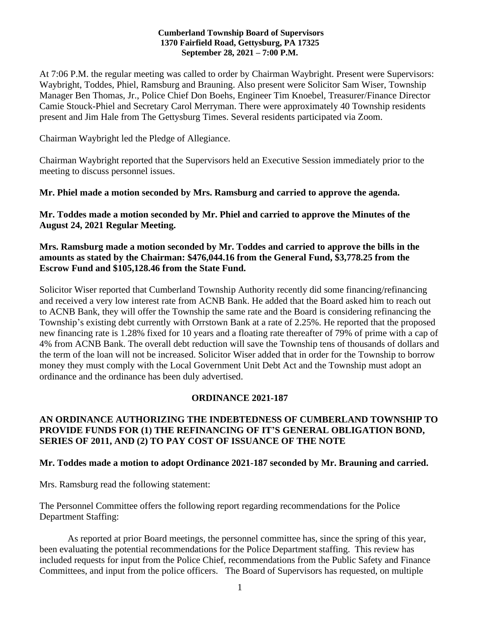#### **Cumberland Township Board of Supervisors 1370 Fairfield Road, Gettysburg, PA 17325 September 28, 2021 – 7:00 P.M.**

At 7:06 P.M. the regular meeting was called to order by Chairman Waybright. Present were Supervisors: Waybright, Toddes, Phiel, Ramsburg and Brauning. Also present were Solicitor Sam Wiser, Township Manager Ben Thomas, Jr., Police Chief Don Boehs, Engineer Tim Knoebel, Treasurer/Finance Director Camie Stouck-Phiel and Secretary Carol Merryman. There were approximately 40 Township residents present and Jim Hale from The Gettysburg Times. Several residents participated via Zoom.

Chairman Waybright led the Pledge of Allegiance.

Chairman Waybright reported that the Supervisors held an Executive Session immediately prior to the meeting to discuss personnel issues.

**Mr. Phiel made a motion seconded by Mrs. Ramsburg and carried to approve the agenda.**

**Mr. Toddes made a motion seconded by Mr. Phiel and carried to approve the Minutes of the August 24, 2021 Regular Meeting.**

#### **Mrs. Ramsburg made a motion seconded by Mr. Toddes and carried to approve the bills in the amounts as stated by the Chairman: \$476,044.16 from the General Fund, \$3,778.25 from the Escrow Fund and \$105,128.46 from the State Fund.**

Solicitor Wiser reported that Cumberland Township Authority recently did some financing/refinancing and received a very low interest rate from ACNB Bank. He added that the Board asked him to reach out to ACNB Bank, they will offer the Township the same rate and the Board is considering refinancing the Township's existing debt currently with Orrstown Bank at a rate of 2.25%. He reported that the proposed new financing rate is 1.28% fixed for 10 years and a floating rate thereafter of 79% of prime with a cap of 4% from ACNB Bank. The overall debt reduction will save the Township tens of thousands of dollars and the term of the loan will not be increased. Solicitor Wiser added that in order for the Township to borrow money they must comply with the Local Government Unit Debt Act and the Township must adopt an ordinance and the ordinance has been duly advertised.

# **ORDINANCE 2021-187**

# **AN ORDINANCE AUTHORIZING THE INDEBTEDNESS OF CUMBERLAND TOWNSHIP TO PROVIDE FUNDS FOR (1) THE REFINANCING OF IT'S GENERAL OBLIGATION BOND, SERIES OF 2011, AND (2) TO PAY COST OF ISSUANCE OF THE NOTE**

# **Mr. Toddes made a motion to adopt Ordinance 2021-187 seconded by Mr. Brauning and carried.**

Mrs. Ramsburg read the following statement:

The Personnel Committee offers the following report regarding recommendations for the Police Department Staffing:

As reported at prior Board meetings, the personnel committee has, since the spring of this year, been evaluating the potential recommendations for the Police Department staffing. This review has included requests for input from the Police Chief, recommendations from the Public Safety and Finance Committees, and input from the police officers. The Board of Supervisors has requested, on multiple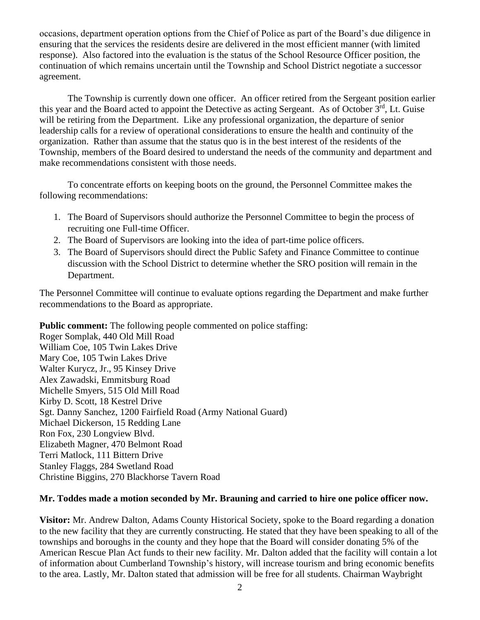occasions, department operation options from the Chief of Police as part of the Board's due diligence in ensuring that the services the residents desire are delivered in the most efficient manner (with limited response). Also factored into the evaluation is the status of the School Resource Officer position, the continuation of which remains uncertain until the Township and School District negotiate a successor agreement.

The Township is currently down one officer. An officer retired from the Sergeant position earlier this year and the Board acted to appoint the Detective as acting Sergeant. As of October 3<sup>rd</sup>, Lt. Guise will be retiring from the Department. Like any professional organization, the departure of senior leadership calls for a review of operational considerations to ensure the health and continuity of the organization. Rather than assume that the status quo is in the best interest of the residents of the Township, members of the Board desired to understand the needs of the community and department and make recommendations consistent with those needs.

To concentrate efforts on keeping boots on the ground, the Personnel Committee makes the following recommendations:

- 1. The Board of Supervisors should authorize the Personnel Committee to begin the process of recruiting one Full-time Officer.
- 2. The Board of Supervisors are looking into the idea of part-time police officers.
- 3. The Board of Supervisors should direct the Public Safety and Finance Committee to continue discussion with the School District to determine whether the SRO position will remain in the Department.

The Personnel Committee will continue to evaluate options regarding the Department and make further recommendations to the Board as appropriate.

**Public comment:** The following people commented on police staffing:

Roger Somplak, 440 Old Mill Road William Coe, 105 Twin Lakes Drive Mary Coe, 105 Twin Lakes Drive Walter Kurycz, Jr., 95 Kinsey Drive Alex Zawadski, Emmitsburg Road Michelle Smyers, 515 Old Mill Road Kirby D. Scott, 18 Kestrel Drive Sgt. Danny Sanchez, 1200 Fairfield Road (Army National Guard) Michael Dickerson, 15 Redding Lane Ron Fox, 230 Longview Blvd. Elizabeth Magner, 470 Belmont Road Terri Matlock, 111 Bittern Drive Stanley Flaggs, 284 Swetland Road Christine Biggins, 270 Blackhorse Tavern Road

# **Mr. Toddes made a motion seconded by Mr. Brauning and carried to hire one police officer now.**

**Visitor:** Mr. Andrew Dalton, Adams County Historical Society, spoke to the Board regarding a donation to the new facility that they are currently constructing. He stated that they have been speaking to all of the townships and boroughs in the county and they hope that the Board will consider donating 5% of the American Rescue Plan Act funds to their new facility. Mr. Dalton added that the facility will contain a lot of information about Cumberland Township's history, will increase tourism and bring economic benefits to the area. Lastly, Mr. Dalton stated that admission will be free for all students. Chairman Waybright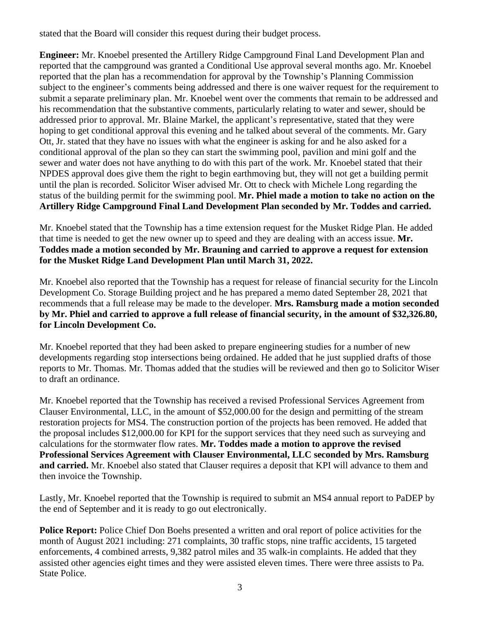stated that the Board will consider this request during their budget process.

**Engineer:** Mr. Knoebel presented the Artillery Ridge Campground Final Land Development Plan and reported that the campground was granted a Conditional Use approval several months ago. Mr. Knoebel reported that the plan has a recommendation for approval by the Township's Planning Commission subject to the engineer's comments being addressed and there is one waiver request for the requirement to submit a separate preliminary plan. Mr. Knoebel went over the comments that remain to be addressed and his recommendation that the substantive comments, particularly relating to water and sewer, should be addressed prior to approval. Mr. Blaine Markel, the applicant's representative, stated that they were hoping to get conditional approval this evening and he talked about several of the comments. Mr. Gary Ott, Jr. stated that they have no issues with what the engineer is asking for and he also asked for a conditional approval of the plan so they can start the swimming pool, pavilion and mini golf and the sewer and water does not have anything to do with this part of the work. Mr. Knoebel stated that their NPDES approval does give them the right to begin earthmoving but, they will not get a building permit until the plan is recorded. Solicitor Wiser advised Mr. Ott to check with Michele Long regarding the status of the building permit for the swimming pool. **Mr. Phiel made a motion to take no action on the Artillery Ridge Campground Final Land Development Plan seconded by Mr. Toddes and carried.** 

Mr. Knoebel stated that the Township has a time extension request for the Musket Ridge Plan. He added that time is needed to get the new owner up to speed and they are dealing with an access issue. **Mr. Toddes made a motion seconded by Mr. Brauning and carried to approve a request for extension for the Musket Ridge Land Development Plan until March 31, 2022.** 

Mr. Knoebel also reported that the Township has a request for release of financial security for the Lincoln Development Co. Storage Building project and he has prepared a memo dated September 28, 2021 that recommends that a full release may be made to the developer. **Mrs. Ramsburg made a motion seconded by Mr. Phiel and carried to approve a full release of financial security, in the amount of \$32,326.80, for Lincoln Development Co.**

Mr. Knoebel reported that they had been asked to prepare engineering studies for a number of new developments regarding stop intersections being ordained. He added that he just supplied drafts of those reports to Mr. Thomas. Mr. Thomas added that the studies will be reviewed and then go to Solicitor Wiser to draft an ordinance.

Mr. Knoebel reported that the Township has received a revised Professional Services Agreement from Clauser Environmental, LLC, in the amount of \$52,000.00 for the design and permitting of the stream restoration projects for MS4. The construction portion of the projects has been removed. He added that the proposal includes \$12,000.00 for KPI for the support services that they need such as surveying and calculations for the stormwater flow rates. **Mr. Toddes made a motion to approve the revised Professional Services Agreement with Clauser Environmental, LLC seconded by Mrs. Ramsburg and carried.** Mr. Knoebel also stated that Clauser requires a deposit that KPI will advance to them and then invoice the Township.

Lastly, Mr. Knoebel reported that the Township is required to submit an MS4 annual report to PaDEP by the end of September and it is ready to go out electronically.

**Police Report:** Police Chief Don Boehs presented a written and oral report of police activities for the month of August 2021 including: 271 complaints, 30 traffic stops, nine traffic accidents, 15 targeted enforcements, 4 combined arrests, 9,382 patrol miles and 35 walk-in complaints. He added that they assisted other agencies eight times and they were assisted eleven times. There were three assists to Pa. State Police.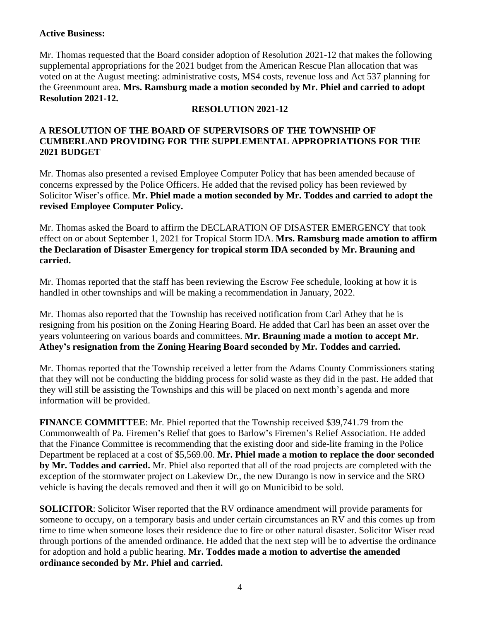### **Active Business:**

Mr. Thomas requested that the Board consider adoption of Resolution 2021-12 that makes the following supplemental appropriations for the 2021 budget from the American Rescue Plan allocation that was voted on at the August meeting: administrative costs, MS4 costs, revenue loss and Act 537 planning for the Greenmount area. **Mrs. Ramsburg made a motion seconded by Mr. Phiel and carried to adopt Resolution 2021-12.** 

# **RESOLUTION 2021-12**

# **A RESOLUTION OF THE BOARD OF SUPERVISORS OF THE TOWNSHIP OF CUMBERLAND PROVIDING FOR THE SUPPLEMENTAL APPROPRIATIONS FOR THE 2021 BUDGET**

Mr. Thomas also presented a revised Employee Computer Policy that has been amended because of concerns expressed by the Police Officers. He added that the revised policy has been reviewed by Solicitor Wiser's office. **Mr. Phiel made a motion seconded by Mr. Toddes and carried to adopt the revised Employee Computer Policy.**

Mr. Thomas asked the Board to affirm the DECLARATION OF DISASTER EMERGENCY that took effect on or about September 1, 2021 for Tropical Storm IDA. **Mrs. Ramsburg made amotion to affirm the Declaration of Disaster Emergency for tropical storm IDA seconded by Mr. Brauning and carried.**

Mr. Thomas reported that the staff has been reviewing the Escrow Fee schedule, looking at how it is handled in other townships and will be making a recommendation in January, 2022.

Mr. Thomas also reported that the Township has received notification from Carl Athey that he is resigning from his position on the Zoning Hearing Board. He added that Carl has been an asset over the years volunteering on various boards and committees. **Mr. Brauning made a motion to accept Mr. Athey's resignation from the Zoning Hearing Board seconded by Mr. Toddes and carried.**

Mr. Thomas reported that the Township received a letter from the Adams County Commissioners stating that they will not be conducting the bidding process for solid waste as they did in the past. He added that they will still be assisting the Townships and this will be placed on next month's agenda and more information will be provided.

**FINANCE COMMITTEE**: Mr. Phiel reported that the Township received \$39,741.79 from the Commonwealth of Pa. Firemen's Relief that goes to Barlow's Firemen's Relief Association. He added that the Finance Committee is recommending that the existing door and side-lite framing in the Police Department be replaced at a cost of \$5,569.00. **Mr. Phiel made a motion to replace the door seconded by Mr. Toddes and carried.** Mr. Phiel also reported that all of the road projects are completed with the exception of the stormwater project on Lakeview Dr., the new Durango is now in service and the SRO vehicle is having the decals removed and then it will go on Municibid to be sold.

**SOLICITOR**: Solicitor Wiser reported that the RV ordinance amendment will provide paraments for someone to occupy, on a temporary basis and under certain circumstances an RV and this comes up from time to time when someone loses their residence due to fire or other natural disaster. Solicitor Wiser read through portions of the amended ordinance. He added that the next step will be to advertise the ordinance for adoption and hold a public hearing. **Mr. Toddes made a motion to advertise the amended ordinance seconded by Mr. Phiel and carried.**